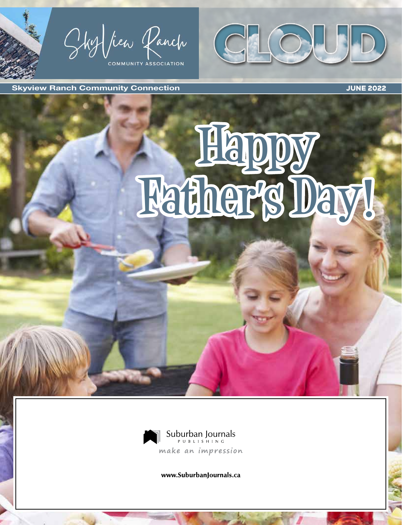Sky fiew Panch OMMUNITY ASSOCIATION



Skyview Ranch Community Connection **Community Connection** JUNE 2022

# **Happy Father's Day!**



www.SuburbanJournals.ca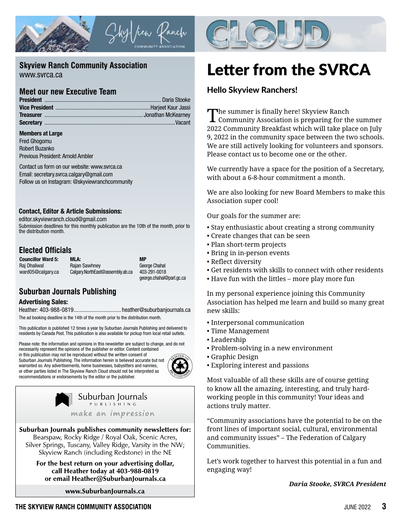



#### **Skyview Ranch Community Association**

www.svrca.ca

#### **Meet our new Executive Team**

#### Members at Large

Fred Ghogomu Robert Buzanko Previous President: Arnold Ambler

Contact us form on our website: www.svrca.ca Email: secretary.svrca.calgary@gmail.com Follow us on Instagram: @skyviewranchcommunity

#### Contact, Editor & Article Submissions:

editor.skyviewranch.cloud@gmail.com

Submission deadlines for this monthly publication are the 10th of the month, prior to the distribution month.

#### **Elected Officials**

| <b>Councillor Ward 5:</b> | MLA:                             | <b>MP</b>                |
|---------------------------|----------------------------------|--------------------------|
| Rai Dhaliwal              | <b>Raian Sawhney</b>             | George Chahal            |
| ward05@calgary.ca         | Calgary.NorthEast@assembly.ab.ca | 403-291-0018             |
|                           |                                  | george.chahal@parl.gc.ca |

#### **Suburban Journals Publishing**

#### Advertising Sales:

Heather: 403-988-0819................................heather@suburbanjournals.ca

The ad booking deadline is the 14th of the month prior to the distribution month.

This publication is published 12 times a year by Suburban Journals Publishing and delivered to residents by Canada Post. This publication is also available for pickup from local retail outlets.

Please note: the information and opinions in this newsletter are subject to change, and do not

necessarily represent the opinions of the publisher or editor. Content contained in this publication may not be reproduced without the written consent of Suburban Journals Publishing. The information herein is believed accurate but not warranted so. Any advertisements, home businesses, babysitters and nannies, or other parties listed in The Skyview Ranch Cloud should not be interpreted as recommendations or endorsements by the editor or the publisher.





Suburban Journals publishes community newsletters for: Bearspaw, Rocky Ridge / Royal Oak, Scenic Acres, Silver Springs, Tuscany, Valley Ridge, Varsity in the NW; Skyview Ranch (including Redstone) in the NE

> For the best return on your advertising dollar, call Heather today at 403-988-0819 or email Heather@SuburbanJournals.ca

> > www.SuburbanJournals.ca

# Letter from the SVRCA

#### Hello Skyview Ranchers!

The summer is finally here! Skyview Ranch Community Association is preparing for the summer 2022 Community Breakfast which will take place on July 9, 2022 in the community space between the two schools. We are still actively looking for volunteers and sponsors. Please contact us to become one or the other.

We currently have a space for the position of a Secretary, with about a 6-8-hour commitment a month.

We are also looking for new Board Members to make this Association super cool!

Our goals for the summer are:

- Stay enthusiastic about creating a strong community
- Create changes that can be seen
- Plan short-term projects
- Bring in in-person events
- Reflect diversity
- Get residents with skills to connect with other residents
- Have fun with the littles more play more fun

In my personal experience joining this Community Association has helped me learn and build so many great new skills:

- Interpersonal communication
- Time Management
- Leadership
- Problem-solving in a new environment
- Graphic Design
- Exploring interest and passions

Most valuable of all these skills are of course getting to know all the amazing, interesting, and truly hardworking people in this community! Your ideas and actions truly matter.

"Community associations have the potential to be on the front lines of important social, cultural, environmental and community issues" – The Federation of Calgary Communities.

Let's work together to harvest this potential in a fun and engaging way!

*Daria Stooke, SVRCA President*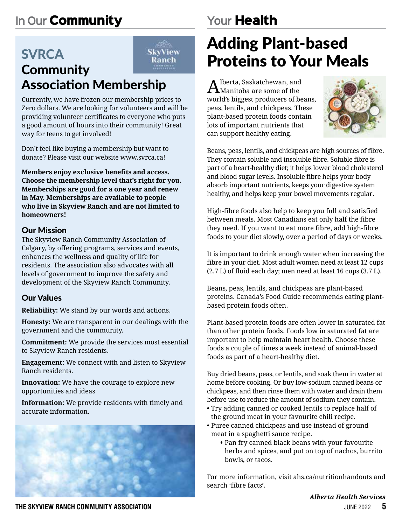# **In Our** Community

#### **SVRCA** SkyView Ranch **Community** Association Membership

Currently, we have frozen our membership prices to Zero dollars. We are looking for volunteers and will be providing volunteer certificates to everyone who puts a good amount of hours into their community! Great way for teens to get involved!

Don't feel like buying a membership but want to donate? Please visit our website www.svrca.ca!

**Members enjoy exclusive benefits and access. Choose the membership level that's right for you. Memberships are good for a one year and renew in May. Memberships are available to people who live in Skyview Ranch and are not limited to homeowners!**

#### Our Mission

The Skyview Ranch Community Association of Calgary, by offering programs, services and events, enhances the wellness and quality of life for residents. The association also advocates with all levels of government to improve the safety and development of the Skyview Ranch Community.

#### Our Values

**Reliability:** We stand by our words and actions.

**Honesty:** We are transparent in our dealings with the government and the community.

**Commitment:** We provide the services most essential to Skyview Ranch residents.

**Engagement:** We connect with and listen to Skyview Ranch residents.

**Innovation:** We have the courage to explore new opportunities and ideas

**Information:** We provide residents with timely and accurate information.



# **Your** Health

# Adding Plant-based Proteins to Your Meals

 $\bigcap_{\text{Manitoba are some of the}}$ world's biggest producers of beans, peas, lentils, and chickpeas. These plant-based protein foods contain lots of important nutrients that can support healthy eating.



Beans, peas, lentils, and chickpeas are high sources of fibre. They contain soluble and insoluble fibre. Soluble fibre is part of a heart-healthy diet; it helps lower blood cholesterol and blood sugar levels. Insoluble fibre helps your body absorb important nutrients, keeps your digestive system healthy, and helps keep your bowel movements regular.

High-fibre foods also help to keep you full and satisfied between meals. Most Canadians eat only half the fibre they need. If you want to eat more fibre, add high-fibre foods to your diet slowly, over a period of days or weeks.

It is important to drink enough water when increasing the fibre in your diet. Most adult women need at least 12 cups (2.7 L) of fluid each day; men need at least 16 cups (3.7 L).

Beans, peas, lentils, and chickpeas are plant-based proteins. Canada's Food Guide recommends eating plantbased protein foods often.

Plant-based protein foods are often lower in saturated fat than other protein foods. Foods low in saturated fat are important to help maintain heart health. Choose these foods a couple of times a week instead of animal-based foods as part of a heart-healthy diet.

Buy dried beans, peas, or lentils, and soak them in water at home before cooking. Or buy low-sodium canned beans or chickpeas, and then rinse them with water and drain them before use to reduce the amount of sodium they contain.

- Try adding canned or cooked lentils to replace half of the ground meat in your favourite chili recipe.
- Puree canned chickpeas and use instead of ground meat in a spaghetti sauce recipe.
	- Pan fry canned black beans with your favourite herbs and spices, and put on top of nachos, burrito bowls, or tacos.

For more information, visit ahs.ca/nutritionhandouts and search 'fibre facts'.

*Alberta Health Services*

**THE SKYVIEW RANCH COMMUNITY ASSOCIATION** JUNE 2022 **5**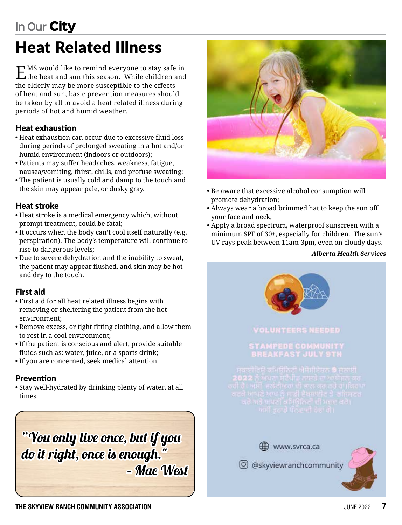# Heat Related Illness

EMS would like to remind everyone to stay safe in the heat and sun this season. While children and the elderly may be more susceptible to the effects of heat and sun, basic prevention measures should be taken by all to avoid a heat related illness during periods of hot and humid weather.

#### Heat exhaustion

- Heat exhaustion can occur due to excessive fluid loss during periods of prolonged sweating in a hot and/or humid environment (indoors or outdoors);
- Patients may suffer headaches, weakness, fatigue, nausea/vomiting, thirst, chills, and profuse sweating;
- The patient is usually cold and damp to the touch and the skin may appear pale, or dusky gray.

#### Heat stroke

- Heat stroke is a medical emergency which, without prompt treatment, could be fatal;
- It occurs when the body can't cool itself naturally (e.g. perspiration). The body's temperature will continue to rise to dangerous levels;
- Due to severe dehydration and the inability to sweat, the patient may appear flushed, and skin may be hot and dry to the touch.

#### First aid

- First aid for all heat related illness begins with removing or sheltering the patient from the hot environment;
- Remove excess, or tight fitting clothing, and allow them to rest in a cool environment;
- If the patient is conscious and alert, provide suitable fluids such as: water, juice, or a sports drink;
- If you are concerned, seek medical attention.

#### Prevention

• Stay well-hydrated by drinking plenty of water, at all times;

"You only live once, but if you do it right, once is enough." – Mae West



- Be aware that excessive alcohol consumption will promote dehydration;
- Always wear a broad brimmed hat to keep the sun off your face and neck;
- Apply a broad spectrum, waterproof sunscreen with a minimum SPF of 30+, especially for children. The sun's UV rays peak between 11am-3pm, even on cloudy days.

#### *Alberta Health Services*

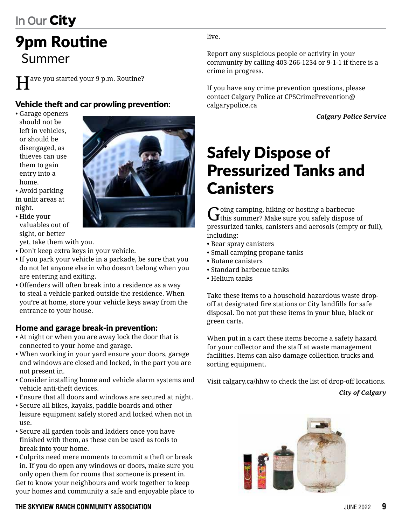# 9pm Routine Summer

Have you started your 9 p.m. Routine?

#### Vehicle theft and car prowling prevention:

- Garage openers should not be left in vehicles, or should be disengaged, as thieves can use them to gain entry into a home.
- Avoid parking in unlit areas at night.
- Hide your valuables out of sight, or better

yet, take them with you.

- Don't keep extra keys in your vehicle.
- If you park your vehicle in a parkade, be sure that you do not let anyone else in who doesn't belong when you are entering and exiting.
- Offenders will often break into a residence as a way to steal a vehicle parked outside the residence. When you're at home, store your vehicle keys away from the entrance to your house.

#### Home and garage break-in prevention:

- At night or when you are away lock the door that is connected to your home and garage.
- When working in your yard ensure your doors, garage and windows are closed and locked, in the part you are not present in.
- Consider installing home and vehicle alarm systems and vehicle anti-theft devices.
- Ensure that all doors and windows are secured at night.
- Secure all bikes, kayaks, paddle boards and other leisure equipment safely stored and locked when not in use.
- Secure all garden tools and ladders once you have finished with them, as these can be used as tools to break into your home.
- Culprits need mere moments to commit a theft or break in. If you do open any windows or doors, make sure you only open them for rooms that someone is present in. Get to know your neighbours and work together to keep

your homes and community a safe and enjoyable place to

#### **THE SKYVIEW RANCH COMMUNITY ASSOCIATION** JUNE 2022 **9**

live.

Report any suspicious people or activity in your community by calling 403-266-1234 or 9-1-1 if there is a crime in progress.

If you have any crime prevention questions, please contact Calgary Police at CPSCrimePrevention@ calgarypolice.ca

*Calgary Police Service*

# Safely Dispose of Pressurized Tanks and **Canisters**

 $G$  oing camping, hiking or hosting a barbecue of this summer? Make sure you safely dispose of pressurized tanks, canisters and aerosols (empty or full), including:

- Bear spray canisters
- Small camping propane tanks
- Butane canisters
- Standard barbecue tanks
- Helium tanks

Take these items to a household hazardous waste dropoff at designated fire stations or City landfills for safe disposal. Do not put these items in your blue, black or green carts.

When put in a cart these items become a safety hazard for your collector and the staff at waste management facilities. Items can also damage collection trucks and sorting equipment.

Visit calgary.ca/hhw to check the list of drop-off locations. *City of Calgary*



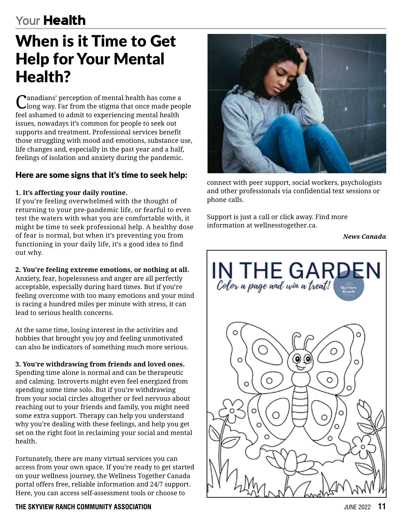# **Your** Health

# When is it Time to Get Help for Your Mental Health?

Canadians' perception of mental health has come a long way. Far from the stigma that once made people feel ashamed to admit to experiencing mental health issues, nowadays it's common for people to seek out supports and treatment. Professional services benefit those struggling with mood and emotions, substance use, life changes and, especially in the past year and a half, feelings of isolation and anxiety during the pandemic.

#### Here are some signs that it's time to seek help:

#### **1. It's affecting your daily routine.**

If you're feeling overwhelmed with the thought of returning to your pre-pandemic life, or fearful to even test the waters with what you are comfortable with, it might be time to seek professional help. A healthy dose of fear is normal, but when it's preventing you from functioning in your daily life, it's a good idea to find out why.

**2. You're feeling extreme emotions, or nothing at all.** Anxiety, fear, hopelessness and anger are all perfectly acceptable, especially during hard times. But if you're feeling overcome with too many emotions and your mind is racing a hundred miles per minute with stress, it can lead to serious health concerns.

At the same time, losing interest in the activities and hobbies that brought you joy and feeling unmotivated can also be indicators of something much more serious.

**3. You're withdrawing from friends and loved ones.** Spending time alone is normal and can be therapeutic and calming. Introverts might even feel energized from spending some time solo. But if you're withdrawing from your social circles altogether or feel nervous about reaching out to your friends and family, you might need some extra support. Therapy can help you understand why you're dealing with these feelings, and help you get set on the right foot in reclaiming your social and mental health.

Fortunately, there are many virtual services you can access from your own space. If you're ready to get started on your wellness journey, the Wellness Together Canada portal offers free, reliable information and 24/7 support. Here, you can access self-assessment tools or choose to

# phone calls.



connect with peer support, social workers, psychologists and other professionals via confidential text sessions or

Support is just a call or click away. Find more information at wellnesstogether.ca.

*News Canada*

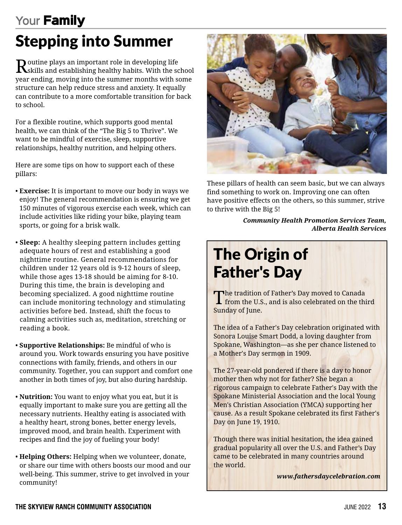# **Your** Family

# Stepping into Summer

 ${\bf R}$ sutine plays an important role in developing life school setablishing healthy habits. With the school year ending, moving into the summer months with some structure can help reduce stress and anxiety. It equally can contribute to a more comfortable transition for back to school.

For a flexible routine, which supports good mental health, we can think of the "The Big 5 to Thrive". We want to be mindful of exercise, sleep, supportive relationships, healthy nutrition, and helping others.

Here are some tips on how to support each of these pillars:

- **Exercise:** It is important to move our body in ways we enjoy! The general recommendation is ensuring we get 150 minutes of vigorous exercise each week, which can include activities like riding your bike, playing team sports, or going for a brisk walk.
- **Sleep:** A healthy sleeping pattern includes getting adequate hours of rest and establishing a good nighttime routine. General recommendations for children under 12 years old is 9-12 hours of sleep, while those ages 13-18 should be aiming for 8-10. During this time, the brain is developing and becoming specialized. A good nighttime routine can include monitoring technology and stimulating activities before bed. Instead, shift the focus to calming activities such as, meditation, stretching or reading a book.
- **Supportive Relationships:** Be mindful of who is around you. Work towards ensuring you have positive connections with family, friends, and others in our community. Together, you can support and comfort one another in both times of joy, but also during hardship.
- **Nutrition:** You want to enjoy what you eat, but it is equally important to make sure you are getting all the necessary nutrients. Healthy eating is associated with a healthy heart, strong bones, better energy levels, improved mood, and brain health. Experiment with recipes and find the joy of fueling your body!
- **Helping Others:** Helping when we volunteer, donate, or share our time with others boosts our mood and our well-being. This summer, strive to get involved in your community!



These pillars of health can seem basic, but we can always find something to work on. Improving one can often have positive effects on the others, so this summer, strive to thrive with the Big 5!

> *Community Health Promotion Services Team, Alberta Health Services*

# The Origin of Father's Day

The tradition of Father's Day moved to Canada<br>
from the U.S., and is also celebrated on the third Sunday of June.

The idea of a Father's Day celebration originated with Sonora Louise Smart Dodd, a loving daughter from Spokane, Washington—as she per chance listened to a Mother's Day sermon in 1909.

The 27-year-old pondered if there is a day to honor mother then why not for father? She began a rigorous campaign to celebrate Father's Day with the Spokane Ministerial Association and the local Young Men's Christian Association (YMCA) supporting her cause. As a result Spokane celebrated its first Father's Day on June 19, 1910.

Though there was initial hesitation, the idea gained gradual popularity all over the U.S. and Father's Day came to be celebrated in many countries around the world.

*www.fathersdaycelebration.com*